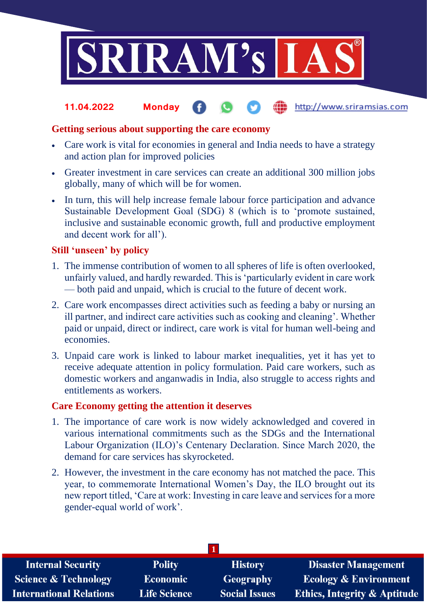

#### **fin** http://www.sriramsias.com **11.04.2022 Monday**

## **Getting serious about supporting the care economy**

- Care work is vital for economies in general and India needs to have a strategy and action plan for improved policies
- Greater investment in care services can create an additional 300 million jobs globally, many of which will be for women.
- In turn, this will help increase female labour force participation and advance Sustainable Development Goal (SDG) 8 (which is to 'promote sustained, inclusive and sustainable economic growth, full and productive employment and decent work for all').

## **Still 'unseen' by policy**

- 1. The immense contribution of women to all spheres of life is often overlooked, unfairly valued, and hardly rewarded. This is 'particularly evident in care work — both paid and unpaid, which is crucial to the future of decent work.
- 2. Care work encompasses direct activities such as feeding a baby or nursing an ill partner, and indirect care activities such as cooking and cleaning'. Whether paid or unpaid, direct or indirect, care work is vital for human well-being and economies.
- 3. Unpaid care work is linked to labour market inequalities, yet it has yet to receive adequate attention in policy formulation. Paid care workers, such as domestic workers and anganwadis in India, also struggle to access rights and entitlements as workers.

## **Care Economy getting the attention it deserves**

- 1. The importance of care work is now widely acknowledged and covered in various international commitments such as the SDGs and the International Labour Organization (ILO)'s Centenary Declaration. Since March 2020, the demand for care services has skyrocketed.
- 2. However, the investment in the care economy has not matched the pace. This year, to commemorate International Women's Day, the ILO brought out its new report titled, 'Care at work: Investing in care leave and services for a more gender-equal world of work'.

| <b>Internal Security</b>        | <b>Polity</b>       | <b>History</b>       | <b>Disaster Management</b>              |  |  |
|---------------------------------|---------------------|----------------------|-----------------------------------------|--|--|
| <b>Science &amp; Technology</b> | <b>Economic</b>     | <b>Geography</b>     | <b>Ecology &amp; Environment</b>        |  |  |
| <b>International Relations</b>  | <b>Life Science</b> | <b>Social Issues</b> | <b>Ethics, Integrity &amp; Aptitude</b> |  |  |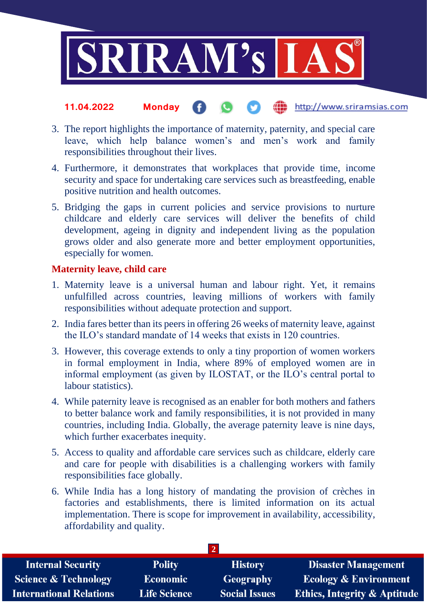

- the http://www.sriramsias.com **11.04.2022 Monday**
- 3. The report highlights the importance of maternity, paternity, and special care leave, which help balance women's and men's work and family responsibilities throughout their lives.
- 4. Furthermore, it demonstrates that workplaces that provide time, income security and space for undertaking care services such as breastfeeding, enable positive nutrition and health outcomes.
- 5. Bridging the gaps in current policies and service provisions to nurture childcare and elderly care services will deliver the benefits of child development, ageing in dignity and independent living as the population grows older and also generate more and better employment opportunities, especially for women.

# **Maternity leave, child care**

- 1. Maternity leave is a universal human and labour right. Yet, it remains unfulfilled across countries, leaving millions of workers with family responsibilities without adequate protection and support.
- 2. India fares better than its peers in offering 26 weeks of maternity leave, against the ILO's standard mandate of 14 weeks that exists in 120 countries.
- 3. However, this coverage extends to only a tiny proportion of women workers in formal employment in India, where 89% of employed women are in informal employment (as given by ILOSTAT, or the ILO's central portal to labour statistics).
- 4. While paternity leave is recognised as an enabler for both mothers and fathers to better balance work and family responsibilities, it is not provided in many countries, including India. Globally, the average paternity leave is nine days, which further exacerbates inequity.
- 5. Access to quality and affordable care services such as childcare, elderly care and care for people with disabilities is a challenging workers with family responsibilities face globally.
- 6. While India has a long history of mandating the provision of crèches in factories and establishments, there is limited information on its actual implementation. There is scope for improvement in availability, accessibility, affordability and quality.

| <b>Internal Security</b>        | <b>Polity</b>       | <b>History</b>       | <b>Disaster Management</b>              |  |  |
|---------------------------------|---------------------|----------------------|-----------------------------------------|--|--|
| <b>Science &amp; Technology</b> | <b>Economic</b>     | Geography            | <b>Ecology &amp; Environment</b>        |  |  |
| <b>International Relations</b>  | <b>Life Science</b> | <b>Social Issues</b> | <b>Ethics, Integrity &amp; Aptitude</b> |  |  |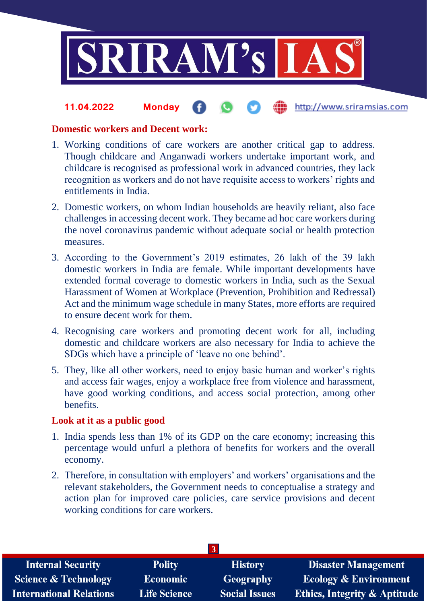

#### the http://www.sriramsias.com **11.04.2022 Monday**

## **Domestic workers and Decent work:**

- 1. Working conditions of care workers are another critical gap to address. Though childcare and Anganwadi workers undertake important work, and childcare is recognised as professional work in advanced countries, they lack recognition as workers and do not have requisite access to workers' rights and entitlements in India.
- 2. Domestic workers, on whom Indian households are heavily reliant, also face challenges in accessing decent work. They became ad hoc care workers during the novel coronavirus pandemic without adequate social or health protection measures.
- 3. According to the Government's 2019 estimates, 26 lakh of the 39 lakh domestic workers in India are female. While important developments have extended formal coverage to domestic workers in India, such as the Sexual Harassment of Women at Workplace (Prevention, Prohibition and Redressal) Act and the minimum wage schedule in many States, more efforts are required to ensure decent work for them.
- 4. Recognising care workers and promoting decent work for all, including domestic and childcare workers are also necessary for India to achieve the SDGs which have a principle of 'leave no one behind'.
- 5. They, like all other workers, need to enjoy basic human and worker's rights and access fair wages, enjoy a workplace free from violence and harassment, have good working conditions, and access social protection, among other benefits.

## **Look at it as a public good**

- 1. India spends less than 1% of its GDP on the care economy; increasing this percentage would unfurl a plethora of benefits for workers and the overall economy.
- 2. Therefore, in consultation with employers' and workers' organisations and the relevant stakeholders, the Government needs to conceptualise a strategy and action plan for improved care policies, care service provisions and decent working conditions for care workers.

| <b>Internal Security</b>        | <b>Polity</b>       | <b>History</b>       | <b>Disaster Management</b>              |  |  |  |
|---------------------------------|---------------------|----------------------|-----------------------------------------|--|--|--|
| <b>Science &amp; Technology</b> | <b>Economic</b>     | Geography            | <b>Ecology &amp; Environment</b>        |  |  |  |
| <b>International Relations</b>  | <b>Life Science</b> | <b>Social Issues</b> | <b>Ethics, Integrity &amp; Aptitude</b> |  |  |  |